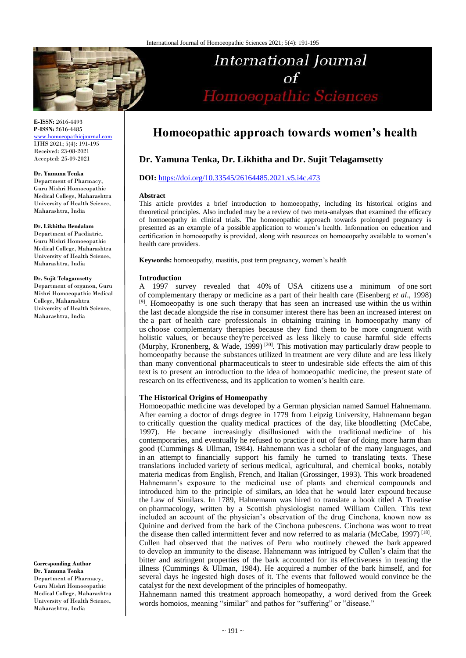

**E-ISSN:** 2616-4493 **P-ISSN:** 2616-4485 [www.homoeopathicjournal.com](file://Server/test/homoeopathicjournal/issue/vol%204/issue%201/www.homoeopathicjournal.com)

IJHS 2021; 5(4): 191-195 Received: 23-08-2021 Accepted: 25-09-2021

#### **Dr. Yamuna Tenka**

Department of Pharmacy, Guru Mishri Homoeopathic Medical College, Maharashtra University of Health Science, Maharashtra, India

## **Dr. Likhitha Bendalam**

Department of Paediatric, Guru Mishri Homoeopathic Medical College, Maharashtra University of Health Science, Maharashtra, India

## **Dr. Sujit Telagamsetty**

Department of organon, Guru Mishri Homoeopathic Medical College, Maharashtra University of Health Science, Maharashtra, India

**Corresponding Author Dr. Yamuna Tenka**  Department of Pharmacy, Guru Mishri Homoeopathic Medical College, Maharashtra University of Health Science, Maharashtra, India

# **Homoeopathic approach towards women's health**

International Journal

 $\alpha f$ 

Homoeopathic Sciences

# **Dr. Yamuna Tenka, Dr. Likhitha and Dr. Sujit Telagamsetty**

## **DOI:** <https://doi.org/10.33545/26164485.2021.v5.i4c.473>

## **Abstract**

This article provides a brief introduction to homoeopathy, including its historical origins and theoretical principles. Also included may be a review of two meta-analyses that examined the efficacy of homoeopathy in clinical trials. The homoeopathic approach towards prolonged pregnancy is presented as an example of a possible application to women's health. Information on education and certification in homoeopathy is provided, along with resources on homoeopathy available to women's health care providers.

**Keywords:** homoeopathy, mastitis, post term pregnancy, women's health

## **Introduction**

A 1997 survey revealed that 40% of USA citizens use a minimum of one sort of complementary therapy or medicine as a part of their health care (Eisenberg *et al*., 1998) <sup>[9]</sup>. Homoeopathy is one such therapy that has seen an increased use within the us within the last decade alongside the rise in consumer interest there has been an increased interest on the a part of health care professionals in obtaining training in homoeopathy many of us choose complementary therapies because they find them to be more congruent with holistic values, or because they're perceived as less likely to cause harmful side effects (Murphy, Kronenberg, & Wade, 1999)<sup>[20]</sup>. This motivation may particularly draw people to homoeopathy because the substances utilized in treatment are very dilute and are less likely than many conventional pharmaceuticals to steer to undesirable side effects the aim of this text is to present an introduction to the idea of homoeopathic medicine, the present state of research on its effectiveness, and its application to women's health care.

## **The Historical Origins of Homeopathy**

Homoeopathic medicine was developed by a German physician named Samuel Hahnemann. After earning a doctor of drugs degree in 1779 from Leipzig University, Hahnemann began to critically question the quality medical practices of the day, like bloodletting (McCabe, 1997). He became increasingly disillusioned with the traditional medicine of his contemporaries, and eventually he refused to practice it out of fear of doing more harm than good (Cummings & Ullman, 1984). Hahnemann was a scholar of the many languages, and in an attempt to financially support his family he turned to translating texts. These translations included variety of serious medical, agricultural, and chemical books, notably materia medicas from English, French, and Italian (Grossinger, 1993). This work broadened Hahnemann's exposure to the medicinal use of plants and chemical compounds and introduced him to the principle of similars, an idea that he would later expound because the Law of Similars. In 1789, Hahnemann was hired to translate a book titled A Treatise on pharmacology, written by a Scottish physiologist named William Cullen. This text included an account of the physician's observation of the drug Cinchona, known now as Quinine and derived from the bark of the Cinchona pubescens. Cinchona was wont to treat the disease then called intermittent fever and now referred to as malaria (McCabe, 1997)<sup>[18]</sup>. Cullen had observed that the natives of Peru who routinely chewed the bark appeared to develop an immunity to the disease. Hahnemann was intrigued by Cullen's claim that the bitter and astringent properties of the bark accounted for its effectiveness in treating the illness (Cummings  $\&$  Ullman, 1984). He acquired a number of the bark himself, and for several days he ingested high doses of it. The events that followed would convince be the catalyst for the next development of the principles of homeopathy.

Hahnemann named this treatment approach homeopathy, a word derived from the Greek words homoios, meaning "similar" and pathos for "suffering" or "disease."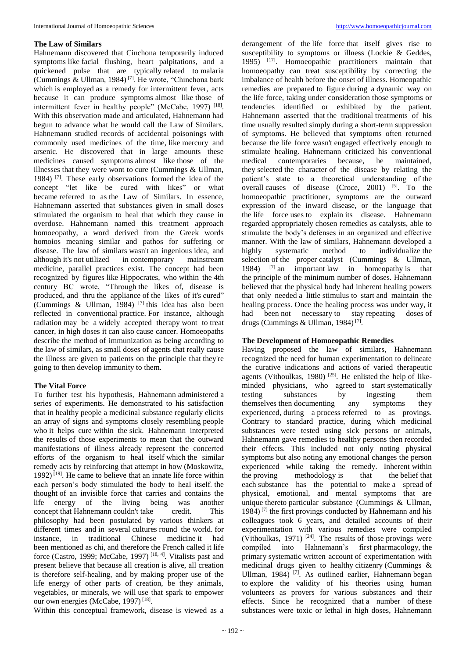## **The Law of Similars**

Hahnemann discovered that Cinchona temporarily induced symptoms like facial flushing, heart palpitations, and a quickened pulse that are typically related to malaria (Cummings & Ullman, 1984) [7]. He wrote, "Chinchona bark which is employed as a remedy for intermittent fever, acts because it can produce symptoms almost like those of intermittent fever in healthy people" (McCabe, 1997)<sup>[18]</sup>. With this observation made and articulated, Hahnemann had begun to advance what he would call the Law of Similars. Hahnemann studied records of accidental poisonings with commonly used medicines of the time, like mercury and arsenic. He discovered that in large amounts these medicines caused symptoms almost like those of the illnesses that they were wont to cure (Cummings & Ullman, 1984) [7]. These early observations formed the idea of the concept "let like be cured with likes" or what became referred to as the Law of Similars. In essence, Hahnemann asserted that substances given in small doses stimulated the organism to heal that which they cause in overdose. Hahnemann named this treatment approach homoeopathy, a word derived from the Greek words homoios meaning similar and pathos for suffering or disease. The law of similars wasn't an ingenious idea, and although it's not utilized in contemporary mainstream medicine, parallel practices exist. The concept had been recognized by figures like Hippocrates, who within the 4th century BC wrote, "Through the likes of, disease is produced, and thru the appliance of the likes of it's cured" (Cummings & Ullman, 1984) <sup>[7]</sup> this idea has also been reflected in conventional practice. For instance, although radiation may be a widely accepted therapy wont to treat cancer, in high doses it can also cause cancer. Homoeopaths describe the method of immunization as being according to the law of similars, as small doses of agents that really cause the illness are given to patients on the principle that they're going to then develop immunity to them.

# **The Vital Force**

To further test his hypothesis, Hahnemann administered a series of experiments. He demonstrated to his satisfaction that in healthy people a medicinal substance regularly elicits an array of signs and symptoms closely resembling people who it helps cure within the sick. Hahnemann interpreted the results of those experiments to mean that the outward manifestations of illness already represent the concerted efforts of the organism to heal itself which the similar remedy acts by reinforcing that attempt in how (Moskowitz, 1992)  $[19]$ . He came to believe that an innate life force within each person's body stimulated the body to heal itself. the thought of an invisible force that carries and contains the life energy of the living being was another concept that Hahnemann couldn't take credit. This philosophy had been postulated by various thinkers at different times and in several cultures round the world. for instance, in traditional Chinese medicine it had been mentioned as chi, and therefore the French called it life force (Castro, 1999; McCabe, 1997) [18, 4]. Vitalists past and present believe that because all creation is alive, all creation is therefore self-healing, and by making proper use of the life energy of other parts of creation, be they animals, vegetables, or minerals, we will use that spark to empower our own energies (McCabe, 1997)<sup>[18]</sup>.

Within this conceptual framework, disease is viewed as a

derangement of the life force that itself gives rise to susceptibility to symptoms or illness (Lockie & Geddes, 1995) [17]. Homoeopathic practitioners maintain that homoeopathy can treat susceptibility by correcting the imbalance of health before the onset of illness. Homeopathic remedies are prepared to figure during a dynamic way on the life force, taking under consideration those symptoms or tendencies identified or exhibited by the patient. Hahnemann asserted that the traditional treatments of his time usually resulted simply during a short-term suppression of symptoms. He believed that symptoms often returned because the life force wasn't engaged effectively enough to stimulate healing. Hahnemann criticized his conventional medical contemporaries because, he maintained, they selected the character of the disease by relating the patient's state to a theoretical understanding of the overall causes of disease  $(Croce, 2001)$  [5]. To the homoeopathic practitioner, symptoms are the outward expression of the inward disease, or the language that the life force uses to explain its disease. Hahnemann regarded appropriately chosen remedies as catalysts, able to stimulate the body's defenses in an organized and effective manner. With the law of similars, Hahnemann developed a highly systematic method to individualize the selection of the proper catalyst (Cummings & Ullman, 1984) [7] an important law in homeopathy is that the principle of the minimum number of doses. Hahnemann believed that the physical body had inherent healing powers that only needed a little stimulus to start and maintain the healing process. Once the healing process was under way, it had been not necessary to stay repeating doses of drugs (Cummings & Ullman, 1984)<sup>[7]</sup>.

# **The Development of Homoeopathic Remedies**

Having proposed the law of similars, Hahnemann recognized the need for human experimentation to delineate the curative indications and actions of varied therapeutic agents (Vithoulkas, 1980)<sup>[25]</sup>. He enlisted the help of likeminded physicians, who agreed to start systematically testing substances by ingesting them themselves then documenting any symptoms they experienced, during a process referred to as provings. Contrary to standard practice, during which medicinal substances were tested using sick persons or animals, Hahnemann gave remedies to healthy persons then recorded their effects. This included not only noting physical symptoms but also noting any emotional changes the person experienced while taking the remedy. Inherent within the proving methodology is that the belief that each substance has the potential to make a spread of physical, emotional, and mental symptoms that are unique thereto particular substance (Cummings & Ullman, 1984)  $[7]$  the first provings conducted by Hahnemann and his colleagues took 6 years, and detailed accounts of their experimentation with various remedies were compiled (Vithoulkas, 1971)  $[24]$ . The results of those provings were compiled into Hahnemann's first pharmacology, the primary systematic written account of experimentation with medicinal drugs given to healthy citizenry (Cummings & Ullman, 1984)<sup>[7]</sup>. As outlined earlier, Hahnemann began to explore the validity of his theories using human volunteers as provers for various substances and their effects. Since he recognized that a number of these substances were toxic or lethal in high doses, Hahnemann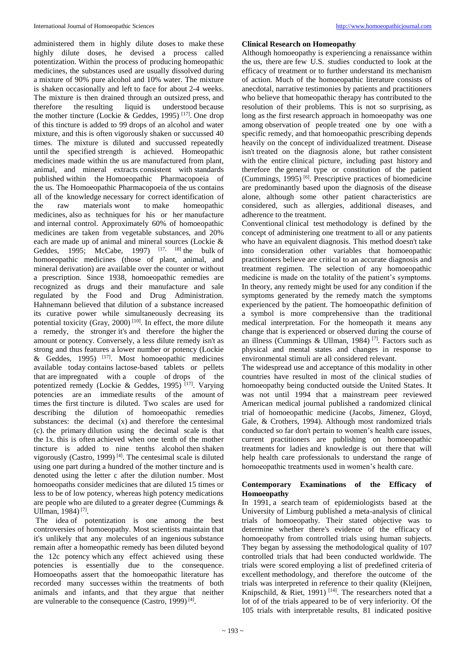administered them in highly dilute doses to make these highly dilute doses, he devised a process called potentization. Within the process of producing homeopathic medicines, the substances used are usually dissolved during a mixture of 90% pure alcohol and 10% water. The mixture is shaken occasionally and left to face for about 2-4 weeks. The mixture is then drained through an outsized press, and therefore the resulting liquid is understood because the mother tincture (Lockie & Geddes, 1995)<sup>[17]</sup>. One drop of this tincture is added to 99 drops of an alcohol and water mixture, and this is often vigorously shaken or succussed 40 times. The mixture is diluted and succussed repeatedly until the specified strength is achieved. Homeopathic medicines made within the us are manufactured from plant, animal, and mineral extracts consistent with standards published within the Homoeopathic Pharmacopoeia of the us. The Homoeopathic Pharmacopoeia of the us contains all of the knowledge necessary for correct identification of the raw materials wont to make homeopathic medicines, also as techniques for his or her manufacture and internal control. Approximately 60% of homoeopathic medicines are taken from vegetable substances, and 20% each are made up of animal and mineral sources (Lockie & Geddes, 1995; McCabe, 1997)  $[17, 18]$  the bulk of homoeopathic medicines (those of plant, animal, and mineral derivation) are available over the counter or without a prescription. Since 1938, homoeopathic remedies are recognized as drugs and their manufacture and sale regulated by the Food and Drug Administration. Hahnemann believed that dilution of a substance increased its curative power while simultaneously decreasing its potential toxicity (Gray, 2000)<sup> $[10]$ </sup>. In effect, the more dilute a remedy, the stronger it's and therefore the higher the amount or potency. Conversely, a less dilute remedy isn't as strong and thus features a lower number or potency (Lockie  $\&$  Geddes, 1995) [17]. Most homoeopathic medicines available today contains lactose-based tablets or pellets that are impregnated with a couple of drops of the potentized remedy (Lockie & Geddes, 1995) [17]. Varying potencies are an immediate results of the amount of times the first tincture is diluted. Two scales are used for describing the dilution of homoeopathic remedies substances: the decimal (x) and therefore the centesimal (c). the primary dilution using the decimal scale is that the 1x. this is often achieved when one tenth of the mother tincture is added to nine tenths alcohol then shaken vigorously (Castro, 1999)<sup>[4]</sup>. The centesimal scale is diluted using one part during a hundred of the mother tincture and is denoted using the letter c after the dilution number. Most homoeopaths consider medicines that are diluted 15 times or less to be of low potency, whereas high potency medications are people who are diluted to a greater degree (Cummings & Ullman, 1984)<sup>[7]</sup>.

The idea of potentization is one among the best controversies of homoeopathy. Most scientists maintain that it's unlikely that any molecules of an ingenious substance remain after a homeopathic remedy has been diluted beyond the 12c potency which any effect achieved using these potencies is essentially due to the consequence. Homoeopaths assert that the homoeopathic literature has recorded many successes within the treatments of both animals and infants, and that they argue that neither are vulnerable to the consequence (Castro, 1999)<sup>[4]</sup>.

# **Clinical Research on Homeopathy**

Although homoeopathy is experiencing a renaissance within the us, there are few U.S. studies conducted to look at the efficacy of treatment or to further understand its mechanism of action. Much of the homoeopathic literature consists of anecdotal, narrative testimonies by patients and practitioners who believe that homeopathic therapy has contributed to the resolution of their problems. This is not so surprising, as long as the first research approach in homoeopathy was one among observation of people treated one by one with a specific remedy, and that homoeopathic prescribing depends heavily on the concept of individualized treatment. Disease isn't treated on the diagnosis alone, but rather consistent with the entire clinical picture, including past history and therefore the general type or constitution of the patient (Cummings, 1995) [6]. Prescriptive practices of biomedicine are predominantly based upon the diagnosis of the disease alone, although some other patient characteristics are considered, such as allergies, additional diseases, and adherence to the treatment.

Conventional clinical test methodology is defined by the concept of administering one treatment to all or any patients who have an equivalent diagnosis. This method doesn't take into consideration other variables that homoeopathic practitioners believe are critical to an accurate diagnosis and treatment regimen. The selection of any homoeopathic medicine is made on the totality of the patient's symptoms. In theory, any remedy might be used for any condition if the symptoms generated by the remedy match the symptoms experienced by the patient. The homoeopathic definition of a symbol is more comprehensive than the traditional medical interpretation. For the homeopath it means any change that is experienced or observed during the course of an illness (Cummings & Ullman, 1984)<sup>[7]</sup>. Factors such as physical and mental states and changes in response to environmental stimuli are all considered relevant.

The widespread use and acceptance of this modality in other countries have resulted in most of the clinical studies of homoeopathy being conducted outside the United States. It was not until 1994 that a mainstream peer reviewed American medical journal published a randomized clinical trial of homoeopathic medicine (Jacobs, Jimenez, Gloyd, Gale, & Crothers, 1994). Although most randomized trials conducted so far don't pertain to women's health care issues, current practitioners are publishing on homoeopathic treatments for ladies and knowledge is out there that will help health care professionals to understand the range of homoeopathic treatments used in women's health care.

# **Contemporary Examinations of the Efficacy of Homoeopathy**

In 1991, a search team of epidemiologists based at the University of Limburg published a meta-analysis of clinical trials of homoeopathy. Their stated objective was to determine whether there's evidence of the efficacy of homoeopathy from controlled trials using human subjects. They began by assessing the methodological quality of 107 controlled trials that had been conducted worldwide. The trials were scored employing a list of predefined criteria of excellent methodology, and therefore the outcome of the trials was interpreted in reference to their quality (Kleijnen, Knipschild, & Riet, 1991)<sup>[14]</sup>. The researchers noted that a lot of of the trials appeared to be of very inferiority. Of the 105 trials with interpretable results, 81 indicated positive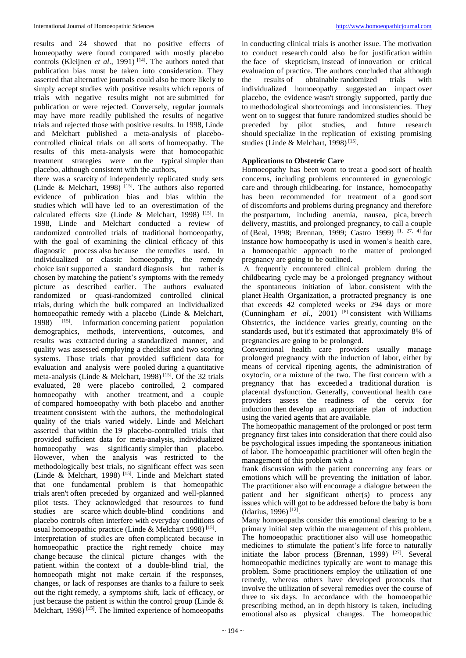results and 24 showed that no positive effects of homeopathy were found compared with mostly placebo controls (Kleijnen *et al.*, 1991)<sup>[14]</sup>. The authors noted that publication bias must be taken into consideration. They asserted that alternative journals could also be more likely to simply accept studies with positive results which reports of trials with negative results might not are submitted for publication or were rejected. Conversely, regular journals may have more readily published the results of negative trials and rejected those with positive results. In 1998, Linde and Melchart published a meta-analysis of placebocontrolled clinical trials on all sorts of homeopathy. The results of this meta-analysis were that homoeopathic treatment strategies were on the typical simpler than placebo, although consistent with the authors,

there was a scarcity of independently replicated study sets (Linde & Melchart, 1998)<sup>[15]</sup>. The authors also reported evidence of publication bias and bias within the studies which will have led to an overestimation of the calculated effects size (Linde & Melchart, 1998) [15]. In 1998, Linde and Melchart conducted a review of randomized controlled trials of traditional homoeopathy, with the goal of examining the clinical efficacy of this diagnostic process also because the remedies used. In individualized or classic homoeopathy, the remedy choice isn't supported a standard diagnosis but rather is chosen by matching the patient's symptoms with the remedy picture as described earlier. The authors evaluated randomized or quasi-randomized controlled clinical trials, during which the bulk compared an individualized homoeopathic remedy with a placebo (Linde & Melchart, 1998) [15]. Information concerning patient population demographics, methods, interventions, outcomes, and results was extracted during a standardized manner, and quality was assessed employing a checklist and two scoring systems. Those trials that provided sufficient data for evaluation and analysis were pooled during a quantitative meta-analysis (Linde & Melchart, 1998) [15]. Of the 32 trials evaluated, 28 were placebo controlled, 2 compared homoeopathy with another treatment, and a couple of compared homoeopathy with both placebo and another treatment consistent with the authors, the methodological quality of the trials varied widely. Linde and Melchart asserted that within the 19 placebo-controlled trials that provided sufficient data for meta-analysis, individualized homoeopathy was significantly simpler than placebo. However, when the analysis was restricted to the methodologically best trials, no significant effect was seen (Linde & Melchart, 1998) [15]. Linde and Melchart stated that one fundamental problem is that homeopathic trials aren't often preceded by organized and well-planned pilot tests. They acknowledged that resources to fund studies are scarce which double-blind conditions and placebo controls often interfere with everyday conditions of usual homoeopathic practice (Linde & Melchart 1998)<sup>[15]</sup>.

Interpretation of studies are often complicated because in homoeopathic practice the right remedy choice may change because the clinical picture changes with the patient. within the context of a double-blind trial, the homoeopath might not make certain if the responses, changes, or lack of responses are thanks to a failure to seek out the right remedy, a symptoms shift, lack of efficacy, or just because the patient is within the control group (Linde  $\&$ Melchart, 1998)<sup>[15]</sup>. The limited experience of homoeopaths

in conducting clinical trials is another issue. The motivation to conduct research could also be for justification within the face of skepticism, instead of innovation or critical evaluation of practice. The authors concluded that although<br>the results of obtainable randomized trials with the results of obtainable randomized trials with individualized homoeopathy suggested an impact over placebo, the evidence wasn't strongly supported, partly due to methodological shortcomings and inconsistencies. They went on to suggest that future randomized studies should be preceded by pilot studies, and future research should specialize in the replication of existing promising studies (Linde & Melchart, 1998)<sup>[15]</sup>.

# **Applications to Obstetric Care**

Homoeopathy has been wont to treat a good sort of health concerns, including problems encountered in gynecologic care and through childbearing. for instance, homoeopathy has been recommended for treatment of a good sort of discomforts and problems during pregnancy and therefore the postpartum, including anemia, nausea, pica, breech delivery, mastitis, and prolonged pregnancy, to call a couple of (Beal, 1998; Brennan, 1999; Castro 1999) [1, 27, 4] for instance how homoeopathy is used in women's health care, a homoeopathic approach to the matter of prolonged pregnancy are going to be outlined.

A frequently encountered clinical problem during the childbearing cycle may be a prolonged pregnancy without the spontaneous initiation of labor. consistent with the planet Health Organization, a protracted pregnancy is one that exceeds 42 completed weeks or 294 days or more (Cunningham *et al.*, 2001)<sup>[8]</sup> consistent with Williams Obstetrics, the incidence varies greatly, counting on the standards used, but it's estimated that approximately 8% of pregnancies are going to be prolonged.

Conventional health care providers usually manage prolonged pregnancy with the induction of labor, either by means of cervical ripening agents, the administration of oxytocin, or a mixture of the two. The first concern with a pregnancy that has exceeded a traditional duration is placental dysfunction. Generally, conventional health care providers assess the readiness of the cervix for induction then develop an appropriate plan of induction using the varied agents that are available.

The homeopathic management of the prolonged or post term pregnancy first takes into consideration that there could also be psychological issues impeding the spontaneous initiation of labor. The homoeopathic practitioner will often begin the management of this problem with a

frank discussion with the patient concerning any fears or emotions which will be preventing the initiation of labor. The practitioner also will encourage a dialogue between the patient and her significant other(s) to process any issues which will got to be addressed before the baby is born (Idarius, 1996) [12] .

Many homoeopaths consider this emotional clearing to be a primary initial step within the management of this problem. The homoeopathic practitioner also will use homeopathic medicines to stimulate the patient's life force to naturally initiate the labor process (Brennan, 1999)  $[27]$ . Several homoeopathic medicines typically are wont to manage this problem. Some practitioners employ the utilization of one remedy, whereas others have developed protocols that involve the utilization of several remedies over the course of three to six days. In accordance with the homoeopathic prescribing method, an in depth history is taken, including emotional also as physical changes. The homeopathic